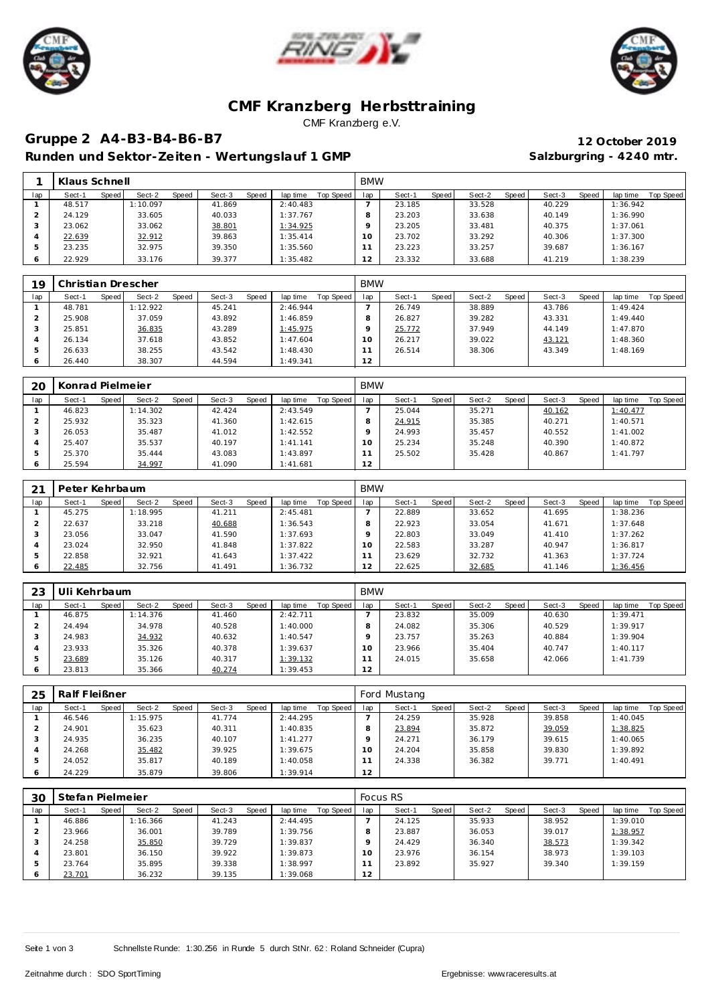





### **CMF Kranzberg Herbsttraining** CMF Kranzberg e.V.

# **Gruppe 2 A4-B3-B4-B6-B7 12 October 2019**

Runden und Sektor-Zeiten - Wertungslauf 1 GMP **Salzburgring - 4240 mtr.** 

|     | Klaus Schnell   |                 |                 |                       | <b>BMW</b> |                 |                 |                 |                       |
|-----|-----------------|-----------------|-----------------|-----------------------|------------|-----------------|-----------------|-----------------|-----------------------|
| lap | Speed<br>Sect-1 | Speed<br>Sect-2 | Speed<br>Sect-3 | Top Speed<br>lap time | lap        | Speed<br>Sect-1 | Sect-2<br>Speed | Speed<br>Sect-3 | Top Speed<br>lap time |
|     | 48.517          | 1:10.097        | 41.869          | 2:40.483              |            | 23.185          | 33.528          | 40.229          | 1:36.942              |
|     | 24.129          | 33.605          | 40.033          | 1:37.767              |            | 23.203          | 33.638          | 40.149          | 1:36.990              |
|     | 23.062          | 33.062          | 38.801          | 1:34.925              |            | 23.205          | 33.481          | 40.375          | 1:37.061              |
|     | 22.639          | 32.912          | 39.863          | 1:35.414              | $\Omega$   | 23.702          | 33.292          | 40.306          | 1:37.300              |
|     | 23.235          | 32.975          | 39.350          | 1:35.560              |            | 23.223          | 33.257          | 39.687          | 1:36.167              |
|     | 22.929          | 33.176          | 39.377          | 1:35.482              |            | 23.332          | 33.688          | 41.219          | 1:38.239              |

| 19      | Christian Drescher |       |          |       |        |       |          |           | <b>BMW</b> |        |       |        |       |        |       |          |           |
|---------|--------------------|-------|----------|-------|--------|-------|----------|-----------|------------|--------|-------|--------|-------|--------|-------|----------|-----------|
| lap     | Sect-1             | Speed | Sect-2   | Speed | Sect-3 | Speed | lap time | Top Speed | lap        | Sect-1 | Speed | Sect-2 | Speed | Sect-3 | Speed | lap time | Top Speed |
|         | 48.781             |       | 1:12.922 |       | 45.241 |       | 2:46.944 |           |            | 26.749 |       | 38.889 |       | 43.786 |       | 1:49.424 |           |
|         | 25.908             |       | 37.059   |       | 43.892 |       | 1:46.859 |           | 8          | 26.827 |       | 39.282 |       | 43.331 |       | 1:49.440 |           |
|         | 25.851             |       | 36.835   |       | 43.289 |       | 1:45.975 |           |            | 25.772 |       | 37.949 |       | 44.149 |       | 1:47.870 |           |
|         | 26.134             |       | 37.618   |       | 43.852 |       | 1:47.604 |           | $\circ$    | 26.217 |       | 39.022 |       | 43.121 |       | 1:48.360 |           |
| 5       | 26.633             |       | 38.255   |       | 43.542 |       | 1:48.430 |           |            | 26.514 |       | 38.306 |       | 43.349 |       | 1:48.169 |           |
| $\circ$ | 26.440             |       | 38.307   |       | 44.594 |       | 1:49.341 |           | 12         |        |       |        |       |        |       |          |           |

| 20  | Konrad Pielmeier |       |          |       |        |       |           |           | <b>BMW</b> |        |       |        |       |        |       |          |           |
|-----|------------------|-------|----------|-------|--------|-------|-----------|-----------|------------|--------|-------|--------|-------|--------|-------|----------|-----------|
| lap | Sect-1           | Speed | Sect-2   | Speed | Sect-3 | Speed | lap time  | Top Speed | lap        | Sect-1 | Speed | Sect-2 | Speed | Sect-3 | Speed | lap time | Top Speed |
|     | 46.823           |       | 1:14.302 |       | 42.424 |       | 2:43.549  |           |            | 25.044 |       | 35.271 |       | 40.162 |       | 1:40.477 |           |
|     | 25.932           |       | 35.323   |       | 41.360 |       | 1:42.615  |           |            | 24.915 |       | 35.385 |       | 40.271 |       | 1:40.571 |           |
|     | 26.053           |       | 35.487   |       | 41.012 |       | 1:42.552  |           |            | 24.993 |       | 35.457 |       | 40.552 |       | 1:41.002 |           |
|     | 25.407           |       | 35.537   |       | 40.197 |       | 1: 41.141 |           | $\Omega$   | 25.234 |       | 35.248 |       | 40.390 |       | 1:40.872 |           |
|     | 25.370           |       | 35.444   |       | 43.083 |       | 1:43.897  |           |            | 25.502 |       | 35.428 |       | 40.867 |       | 1:41.797 |           |
| 6   | 25.594           |       | 34.997   |       | 41.090 |       | 1:41.681  |           | 12         |        |       |        |       |        |       |          |           |

| 21  | Peter Kehrbaum |       |          |       |        |       |          |           | <b>BMW</b> |        |       |        |       |        |       |          |           |
|-----|----------------|-------|----------|-------|--------|-------|----------|-----------|------------|--------|-------|--------|-------|--------|-------|----------|-----------|
| lap | Sect-1         | Speed | Sect-2   | Speed | Sect-3 | Speed | lap time | Top Speed | lap        | Sect-1 | Speed | Sect-2 | Speed | Sect-3 | Speed | lap time | Top Speed |
|     | 45.275         |       | 1:18.995 |       | 41.211 |       | 2:45.481 |           |            | 22.889 |       | 33.652 |       | 41.695 |       | 1:38.236 |           |
|     | 22.637         |       | 33.218   |       | 40.688 |       | 1:36.543 |           |            | 22.923 |       | 33.054 |       | 41.671 |       | 1:37.648 |           |
|     | 23.056         |       | 33.047   |       | 41.590 |       | 1:37.693 |           |            | 22.803 |       | 33.049 |       | 41.410 |       | 1:37.262 |           |
|     | 23.024         |       | 32.950   |       | 41.848 |       | 1:37.822 |           | 1 O        | 22.583 |       | 33.287 |       | 40.947 |       | 1:36.817 |           |
| 5   | 22.858         |       | 32.921   |       | 41.643 |       | 1:37.422 |           |            | 23.629 |       | 32.732 |       | 41.363 |       | 1:37.724 |           |
| O   | 22.485         |       | 32.756   |       | 41.491 |       | 1:36.732 |           | 12         | 22.625 |       | 32.685 |       | 41.146 |       | 1:36.456 |           |

| 23  | Uli Kehrbaum |       |          |       |        |       |          |           | <b>BMW</b>      |        |       |        |       |        |       |          |           |
|-----|--------------|-------|----------|-------|--------|-------|----------|-----------|-----------------|--------|-------|--------|-------|--------|-------|----------|-----------|
| lap | Sect-1       | Speed | Sect-2   | Speed | Sect-3 | Speed | lap time | Top Speed | lap             | Sect-1 | Speed | Sect-2 | Speed | Sect-3 | Speed | lap time | Top Speed |
|     | 46.875       |       | 1:14.376 |       | 41.460 |       | 2:42.711 |           |                 | 23.832 |       | 35.009 |       | 40.630 |       | 1:39.471 |           |
|     | 24.494       |       | 34.978   |       | 40.528 |       | 1:40.000 |           |                 | 24.082 |       | 35.306 |       | 40.529 |       | 1:39.917 |           |
|     | 24.983       |       | 34.932   |       | 40.632 |       | 1:40.547 |           |                 | 23.757 |       | 35.263 |       | 40.884 |       | 1:39.904 |           |
|     | 23.933       |       | 35.326   |       | 40.378 |       | 1:39.637 |           | 10 <sup>°</sup> | 23.966 |       | 35.404 |       | 40.747 |       | 1:40.117 |           |
| 5   | 23.689       |       | 35.126   |       | 40.317 |       | 1:39.132 |           |                 | 24.015 |       | 35.658 |       | 42.066 |       | 1:41.739 |           |
|     | 23.813       |       | 35.366   |       | 40.274 |       | 1:39.453 |           | 12              |        |       |        |       |        |       |          |           |

| 25  | Ralf Fleißner |       |          |       |        |       |          |           |                     | Ford Mustang |       |        |       |        |       |          |           |
|-----|---------------|-------|----------|-------|--------|-------|----------|-----------|---------------------|--------------|-------|--------|-------|--------|-------|----------|-----------|
| lap | Sect-1        | Speed | Sect-2   | Speed | Sect-3 | Speed | lap time | Top Speed | lap                 | Sect-1       | Speed | Sect-2 | Speed | Sect-3 | Speed | lap time | Top Speed |
|     | 46.546        |       | 1:15.975 |       | 41.774 |       | 2:44.295 |           |                     | 24.259       |       | 35.928 |       | 39.858 |       | 1:40.045 |           |
|     | 24.901        |       | 35.623   |       | 40.311 |       | 1:40.835 |           |                     | 23.894       |       | 35.872 |       | 39.059 |       | 1:38.825 |           |
|     | 24.935        |       | 36.235   |       | 40.107 |       | 1:41.277 |           |                     | 24.271       |       | 36.179 |       | 39.615 |       | 1:40.065 |           |
| 4   | 24.268        |       | 35.482   |       | 39.925 |       | 1:39.675 |           | $^{\circ}$ $\Omega$ | 24.204       |       | 35.858 |       | 39.830 |       | 1:39.892 |           |
| 5   | 24.052        |       | 35.817   |       | 40.189 |       | 1:40.058 |           |                     | 24.338       |       | 36.382 |       | 39.771 |       | 1:40.491 |           |
|     | 24.229        |       | 35.879   |       | 39.806 |       | 1:39.914 |           | 12                  |              |       |        |       |        |       |          |           |

| 30      | Stefan Pielmeier |       |          |       |        |       |          |           |     | Focus RS |        |        |       |        |       |          |           |
|---------|------------------|-------|----------|-------|--------|-------|----------|-----------|-----|----------|--------|--------|-------|--------|-------|----------|-----------|
| lap     | Sect-1           | Speed | Sect-2   | Speed | Sect-3 | Speed | lap time | Top Speed | lap | Sect-1   | Speed! | Sect-2 | Speed | Sect-3 | Speed | lap time | Top Speed |
|         | 46.886           |       | 1:16.366 |       | 41.243 |       | 2:44.495 |           |     | 24.125   |        | 35.933 |       | 38.952 |       | 1:39.010 |           |
|         | 23.966           |       | 36.001   |       | 39.789 |       | 1:39.756 |           |     | 23.887   |        | 36.053 |       | 39.017 |       | 1:38.957 |           |
|         | 24.258           |       | 35.850   |       | 39.729 |       | 1:39.837 |           |     | 24.429   |        | 36.340 |       | 38.573 |       | 1:39.342 |           |
|         | 23.801           |       | 36.150   |       | 39.922 |       | 1:39.873 |           | 10  | 23.976   |        | 36.154 |       | 38.973 |       | 1:39.103 |           |
|         | 23.764           |       | 35.895   |       | 39.338 |       | 1:38.997 |           |     | 23.892   |        | 35.927 |       | 39.340 |       | 1:39.159 |           |
| $\circ$ | 23.701           |       | 36.232   |       | 39.135 |       | 1:39.068 |           | 12  |          |        |        |       |        |       |          |           |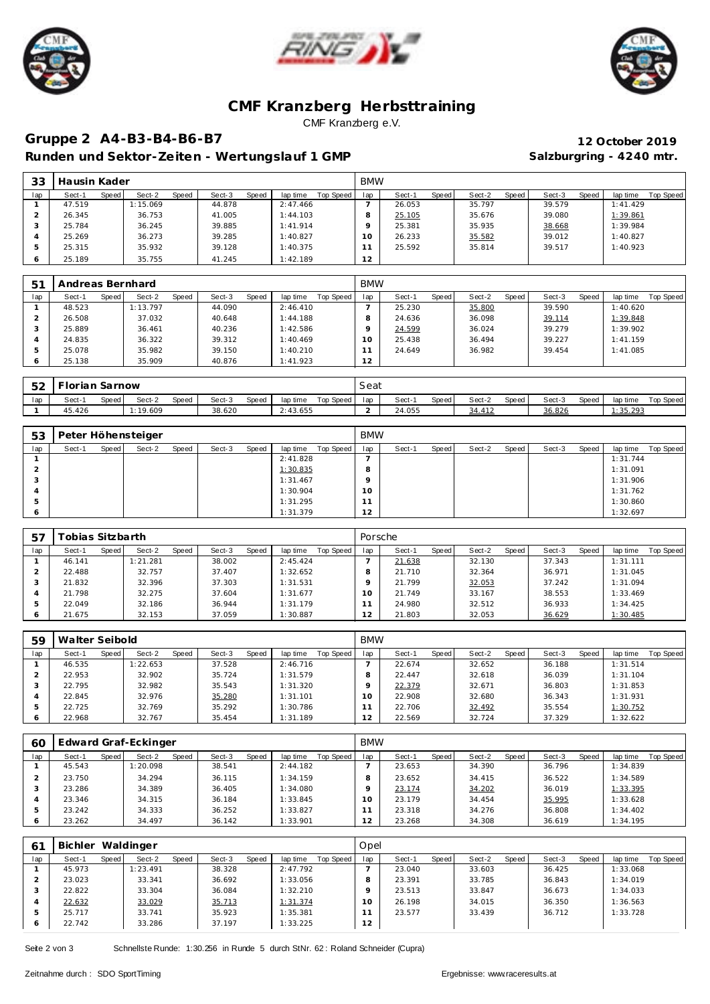





### **CMF Kranzberg Herbsttraining** CMF Kranzberg e.V.

# **Gruppe 2 A4-B3-B4-B6-B7 12 October 2019**

Runden und Sektor-Zeiten - Wertungslauf 1 GMP **Salzburgring - 4240 mtr.** 

| 33  | Hausin Kader |       |          |       |        |       |          |           | <b>BMW</b>      |        |       |        |       |        |       |           |           |
|-----|--------------|-------|----------|-------|--------|-------|----------|-----------|-----------------|--------|-------|--------|-------|--------|-------|-----------|-----------|
| lap | Sect-1       | Speed | Sect-2   | Speed | Sect-3 | Speed | lap time | Top Speed | lap             | Sect-1 | Speed | Sect-2 | Speed | Sect-3 | Speed | lap time  | Top Speed |
|     | 47.519       |       | : 15.069 |       | 44.878 |       | 2:47.466 |           |                 | 26.053 |       | 35.797 |       | 39.579 |       | 1: 41.429 |           |
|     | 26.345       |       | 36.753   |       | 41.005 |       | 1:44.103 |           |                 | 25.105 |       | 35.676 |       | 39.080 |       | 1:39.861  |           |
|     | 25.784       |       | 36.245   |       | 39.885 |       | 1:41.914 |           |                 | 25.381 |       | 35.935 |       | 38.668 |       | 1:39.984  |           |
|     | 25.269       |       | 36.273   |       | 39.285 |       | 1:40.827 |           | 10 <sup>°</sup> | 26.233 |       | 35.582 |       | 39.012 |       | 1:40.827  |           |
|     | 25.315       |       | 35.932   |       | 39.128 |       | 1:40.375 |           |                 | 25.592 |       | 35.814 |       | 39.517 |       | 1:40.923  |           |
|     | 25.189       |       | 35.755   |       | 41.245 |       | 1:42.189 |           | 12              |        |       |        |       |        |       |           |           |

| 5 <sup>1</sup> | Andreas Bernhard |       |          |       |        |              |          |           | <b>BMW</b>     |        |       |        |       |        |       |          |           |
|----------------|------------------|-------|----------|-------|--------|--------------|----------|-----------|----------------|--------|-------|--------|-------|--------|-------|----------|-----------|
| lap            | Sect-1           | Speed | Sect-2   | Speed | Sect-3 | <b>Speed</b> | lap time | Top Speed | lap            | Sect-1 | Speed | Sect-2 | Speed | Sect-3 | Speed | lap time | Top Speed |
|                | 48.523           |       | 1:13.797 |       | 44.090 |              | 2:46.410 |           |                | 25.230 |       | 35.800 |       | 39.590 |       | : 40.620 |           |
|                | 26.508           |       | 37.032   |       | 40.648 |              | 1:44.188 |           | 8              | 24.636 |       | 36.098 |       | 39.114 |       | 1:39.848 |           |
|                | 25.889           |       | 36.461   |       | 40.236 |              | 1:42.586 |           | o              | 24.599 |       | 36.024 |       | 39.279 |       | 1:39.902 |           |
|                | 24.835           |       | 36.322   |       | 39.312 |              | 1:40.469 |           | 10             | 25.438 |       | 36.494 |       | 39.227 |       | 1:41.159 |           |
| .5             | 25.078           |       | 35.982   |       | 39.150 |              | 1:40.210 |           |                | 24.649 |       | 36.982 |       | 39.454 |       | 1:41.085 |           |
|                | 25.138           |       | 35.909   |       | 40.876 |              | 1:41.923 |           | $\overline{2}$ |        |       |        |       |        |       |          |           |

| 云つ<br>∠ت | <b>Florian Sarnow</b> |       |         |       |        |       |          |           | Seat |        |       |        |       |        |       |          |           |
|----------|-----------------------|-------|---------|-------|--------|-------|----------|-----------|------|--------|-------|--------|-------|--------|-------|----------|-----------|
| lap      | Sect-1                | Speed | Sect-2  | Speed | Sect-3 | Speed | lap time | Top Speed | lan  | Sect-  | Speed | Sect-2 | Speed | Sect-3 | Speed | lap time | Top Speed |
|          | 45.426                |       | :19.609 |       | 38.620 |       | 2:43.655 |           |      | 24.055 |       | 34.412 |       | 36.826 |       | 1:35.293 |           |

| 53  | Peter Höhensteiger |       |        |       |        |       |          |           | <b>BMW</b> |        |       |        |       |        |       |          |           |
|-----|--------------------|-------|--------|-------|--------|-------|----------|-----------|------------|--------|-------|--------|-------|--------|-------|----------|-----------|
| lap | Sect-1             | Speed | Sect-2 | Speed | Sect-3 | Speed | lap time | Top Speed | lap        | Sect-1 | Speed | Sect-2 | Speed | Sect-3 | Speed | lap time | Top Speed |
|     |                    |       |        |       |        |       | 2:41.828 |           |            |        |       |        |       |        |       | 1:31.744 |           |
|     |                    |       |        |       |        |       | 1:30.835 |           | 8          |        |       |        |       |        |       | 1:31.091 |           |
|     |                    |       |        |       |        |       | 1:31.467 |           | o          |        |       |        |       |        |       | 1:31.906 |           |
|     |                    |       |        |       |        |       | 1:30.904 |           | 10         |        |       |        |       |        |       | 1:31.762 |           |
|     |                    |       |        |       |        |       | 1:31.295 |           | $\sim$     |        |       |        |       |        |       | 1:30.860 |           |
|     |                    |       |        |       |        |       | 1:31.379 |           | 12         |        |       |        |       |        |       | 1:32.697 |           |

| 57  | ⊺obias Sitzbarth |       |          |       |        |       |          |           | Porsche |        |       |        |       |        |       |          |           |
|-----|------------------|-------|----------|-------|--------|-------|----------|-----------|---------|--------|-------|--------|-------|--------|-------|----------|-----------|
| lap | Sect-1           | Speed | Sect-2   | Speed | Sect-3 | Speed | lap time | Top Speed | lap     | Sect-1 | Speed | Sect-2 | Speed | Sect-3 | Speed | lap time | Top Speed |
|     | 46.141           |       | 1:21.281 |       | 38.002 |       | 2:45.424 |           |         | 21.638 |       | 32.130 |       | 37.343 |       | 1:31.111 |           |
|     | 22.488           |       | 32.757   |       | 37.407 |       | 1:32.652 |           |         | 21.710 |       | 32.364 |       | 36.971 |       | 1:31.045 |           |
|     | 21.832           |       | 32.396   |       | 37.303 |       | 1:31.531 |           |         | 21.799 |       | 32.053 |       | 37.242 |       | 1:31.094 |           |
|     | 21.798           |       | 32.275   |       | 37.604 |       | 1:31.677 |           | 10      | 21.749 |       | 33.167 |       | 38.553 |       | 1:33.469 |           |
| 5   | 22.049           |       | 32.186   |       | 36.944 |       | 1:31.179 |           |         | 24.980 |       | 32.512 |       | 36.933 |       | 1:34.425 |           |
| ō   | 21.675           |       | 32.153   |       | 37.059 |       | 1:30.887 |           | 12      | 21.803 |       | 32.053 |       | 36.629 |       | 1:30.485 |           |

| 59  | Walter Seibold |       |          |       |        |       |          |           |                 | <b>BMW</b> |       |        |       |        |              |          |           |  |  |
|-----|----------------|-------|----------|-------|--------|-------|----------|-----------|-----------------|------------|-------|--------|-------|--------|--------------|----------|-----------|--|--|
| lap | Sect-1         | Speed | Sect-2   | Speed | Sect-3 | Speed | lap time | Top Speed | lap             | Sect-1     | Speed | Sect-2 | Speed | Sect-3 | <b>Speed</b> | lap time | Top Speed |  |  |
|     | 46.535         |       | 1:22.653 |       | 37.528 |       | 2:46.716 |           |                 | 22.674     |       | 32.652 |       | 36.188 |              | 1:31.514 |           |  |  |
|     | 22.953         |       | 32.902   |       | 35.724 |       | 1:31.579 |           |                 | 22.447     |       | 32.618 |       | 36.039 |              | 1:31.104 |           |  |  |
|     | 22.795         |       | 32.982   |       | 35.543 |       | 1:31.320 |           |                 | 22.379     |       | 32.671 |       | 36.803 |              | 1:31.853 |           |  |  |
|     | 22.845         |       | 32.976   |       | 35.280 |       | 1:31.101 |           | 10 <sup>°</sup> | 22.908     |       | 32.680 |       | 36.343 |              | 1:31.931 |           |  |  |
|     | 22.725         |       | 32.769   |       | 35.292 |       | 1:30.786 |           |                 | 22.706     |       | 32.492 |       | 35.554 |              | 1:30.752 |           |  |  |
|     | 22.968         |       | 32.767   |       | 35.454 |       | 1:31.189 |           | $\sim$<br>∸     | 22.569     |       | 32.724 |       | 37.329 |              | 1:32.622 |           |  |  |

| 60  | Edward Graf-Eckinger |       |          |       |        |       |          |           |     | <b>BMW</b> |       |        |       |        |       |          |           |  |  |
|-----|----------------------|-------|----------|-------|--------|-------|----------|-----------|-----|------------|-------|--------|-------|--------|-------|----------|-----------|--|--|
| lap | Sect-1               | Speed | Sect-2   | Speed | Sect-3 | Speed | lap time | Top Speed | lap | Sect-1     | Speed | Sect-2 | Speed | Sect-3 | Speed | lap time | Top Speed |  |  |
|     | 45.543               |       | : 20.098 |       | 38.541 |       | 2:44.182 |           |     | 23.653     |       | 34.390 |       | 36.796 |       | 1:34.839 |           |  |  |
|     | 23.750               |       | 34.294   |       | 36.115 |       | 1:34.159 |           |     | 23.652     |       | 34.415 |       | 36.522 |       | 1:34.589 |           |  |  |
|     | 23.286               |       | 34.389   |       | 36.405 |       | 1:34.080 |           |     | 23.174     |       | 34.202 |       | 36.019 |       | 1:33.395 |           |  |  |
|     | 23.346               |       | 34.315   |       | 36.184 |       | 1:33.845 |           | O   | 23.179     |       | 34.454 |       | 35.995 |       | 1:33.628 |           |  |  |
|     | 23.242               |       | 34.333   |       | 36.252 |       | 1:33.827 |           |     | 23.318     |       | 34.276 |       | 36.808 |       | 1:34.402 |           |  |  |
|     | 23.262               |       | 34.497   |       | 36.142 |       | 1:33.901 |           |     | 23.268     |       | 34.308 |       | 36.619 |       | 1:34.195 |           |  |  |

| 61  | Waldinger<br>Bichler |       |          |       |        |       |          |           |     | Opel   |       |        |       |        |       |          |           |  |  |  |
|-----|----------------------|-------|----------|-------|--------|-------|----------|-----------|-----|--------|-------|--------|-------|--------|-------|----------|-----------|--|--|--|
| lap | Sect-1               | Speed | Sect-2   | Speed | Sect-3 | Speed | lap time | Top Speed | lap | Sect-1 | Speed | Sect-2 | Speed | Sect-3 | Speed | lap time | Top Speed |  |  |  |
|     | 45.973               |       | 1:23.491 |       | 38.328 |       | 2:47.792 |           |     | 23.040 |       | 33.603 |       | 36.425 |       | 1:33.068 |           |  |  |  |
|     | 23.023               |       | 33.341   |       | 36.692 |       | 1:33.056 |           |     | 23.391 |       | 33.785 |       | 36.843 |       | 1:34.019 |           |  |  |  |
|     | 22.822               |       | 33.304   |       | 36.084 |       | 1:32.210 |           |     | 23.513 |       | 33.847 |       | 36.673 |       | 1:34.033 |           |  |  |  |
|     | 22.632               |       | 33.029   |       | 35.713 |       | 1:31.374 |           | 10  | 26.198 |       | 34.015 |       | 36.350 |       | 1:36.563 |           |  |  |  |
|     | 25.717               |       | 33.741   |       | 35.923 |       | 1:35.381 |           |     | 23.577 |       | 33.439 |       | 36.712 |       | 1:33.728 |           |  |  |  |
|     | 22.742               |       | 33.286   |       | 37.197 |       | 1:33.225 |           | 12  |        |       |        |       |        |       |          |           |  |  |  |